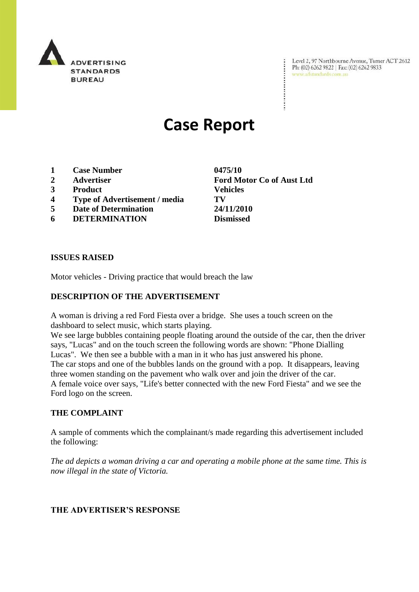

Level 2, 97 Northbourne Avenue, Turner ACT 2612<br>Ph: (02) 6262 9822 | Fax: (02) 6262 9833<br>www.adstandards.com.au

# **Case Report**

- **1 Case Number 0475/10**
- 
- **3 Product Vehicles**
- **4 Type of Advertisement / media TV**
- **5 Date of Determination 24/11/2010**
- **6 DETERMINATION Dismissed**

**ISSUES RAISED**

Motor vehicles - Driving practice that would breach the law

## **DESCRIPTION OF THE ADVERTISEMENT**

A woman is driving a red Ford Fiesta over a bridge. She uses a touch screen on the dashboard to select music, which starts playing.

We see large bubbles containing people floating around the outside of the car, then the driver says, "Lucas" and on the touch screen the following words are shown: "Phone Dialling Lucas". We then see a bubble with a man in it who has just answered his phone. The car stops and one of the bubbles lands on the ground with a pop. It disappears, leaving three women standing on the pavement who walk over and join the driver of the car. A female voice over says, "Life's better connected with the new Ford Fiesta" and we see the Ford logo on the screen.

#### **THE COMPLAINT**

A sample of comments which the complainant/s made regarding this advertisement included the following:

*The ad depicts a woman driving a car and operating a mobile phone at the same time. This is now illegal in the state of Victoria.* 

#### **THE ADVERTISER'S RESPONSE**

**2 Advertiser Ford Motor Co of Aust Ltd**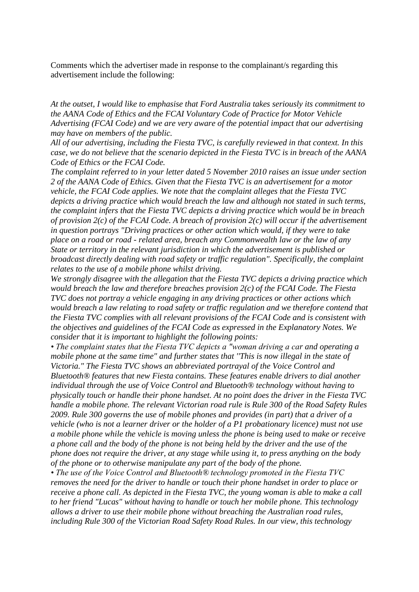Comments which the advertiser made in response to the complainant/s regarding this advertisement include the following:

*At the outset, I would like to emphasise that Ford Australia takes seriously its commitment to the AANA Code of Ethics and the FCAI Voluntary Code of Practice for Motor Vehicle Advertising (FCAI Code) and we are very aware of the potential impact that our advertising may have on members of the public.*

*All of our advertising, including the Fiesta TVC, is carefully reviewed in that context. In this case, we do not believe that the scenario depicted in the Fiesta TVC is in breach of the AANA Code of Ethics or the FCAI Code.*

*The complaint referred to in your letter dated 5 November 2010 raises an issue under section 2 of the AANA Code of Ethics. Given that the Fiesta TVC is an advertisement for a motor vehicle, the FCAI Code applies. We note that the complaint alleges that the Fiesta TVC depicts a driving practice which would breach the law and although not stated in such terms, the complaint infers that the Fiesta TVC depicts a driving practice which would be in breach of provision 2(c) of the FCAI Code. A breach of provision 2(c) will occur if the advertisement in question portrays "Driving practices or other action which would, if they were to take place on a road or road - related area, breach any Commonwealth law or the law of any State or territory in the relevant jurisdiction in which the advertisement is published or broadcast directly dealing with road safety or traffic regulation". Specifically, the complaint relates to the use of a mobile phone whilst driving.*

*We strongly disagree with the allegation that the Fiesta TVC depicts a driving practice which would breach the law and therefore breaches provision 2(c) of the FCAI Code. The Fiesta TVC does not portray a vehicle engaging in any driving practices or other actions which would breach a law relating to road safety or traffic regulation and we therefore contend that the Fiesta TVC complies with all relevant provisions of the FCAI Code and is consistent with the objectives and guidelines of the FCAI Code as expressed in the Explanatory Notes. We consider that it is important to highlight the following points:*

*• The complaint states that the Fiesta TVC depicts a "woman driving a car and operating a mobile phone at the same time" and further states that ''This is now illegal in the state of Victoria." The Fiesta TVC shows an abbreviated portrayal of the Voice Control and Bluetooth® features that new Fiesta contains. These features enable drivers to dial another individual through the use of Voice Control and Bluetooth® technology without having to physically touch or handle their phone handset. At no point does the driver in the Fiesta TVC handle a mobile phone. The relevant Victorian road rule is Rule 300 of the Road Safety Rules 2009. Rule 300 governs the use of mobile phones and provides (in part) that a driver of a vehicle (who is not a learner driver or the holder of a P1 probationary licence) must not use a mobile phone while the vehicle is moving unless the phone is being used to make or receive a phone call and the body of the phone is not being held by the driver and the use of the phone does not require the driver, at any stage while using it, to press anything on the body of the phone or to otherwise manipulate any part of the body of the phone.*

*• The use of the Voice Control and Bluetooth® technology promoted in the Fiesta TVC removes the need for the driver to handle or touch their phone handset in order to place or receive a phone call. As depicted in the Fiesta TVC, the young woman is able to make a call to her friend "Lucas" without having to handle or touch her mobile phone. This technology allows a driver to use their mobile phone without breaching the Australian road rules, including Rule 300 of the Victorian Road Safety Road Rules. In our view, this technology*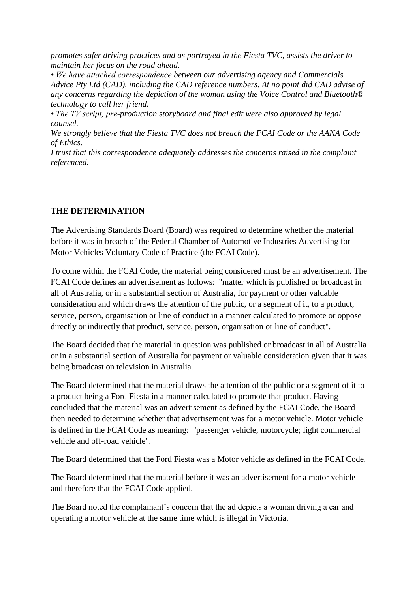*promotes safer driving practices and as portrayed in the Fiesta TVC, assists the driver to maintain her focus on the road ahead.*

*• We have attached correspondence between our advertising agency and Commercials Advice Pty Ltd (CAD), including the CAD reference numbers. At no point did CAD advise of any concerns regarding the depiction of the woman using the Voice Control and Bluetooth® technology to call her friend.*

*• The TV script, pre-production storyboard and final edit were also approved by legal counsel.*

*We strongly believe that the Fiesta TVC does not breach the FCAI Code or the AANA Code of Ethics.*

*I trust that this correspondence adequately addresses the concerns raised in the complaint referenced.*

### **THE DETERMINATION**

The Advertising Standards Board (Board) was required to determine whether the material before it was in breach of the Federal Chamber of Automotive Industries Advertising for Motor Vehicles Voluntary Code of Practice (the FCAI Code).

To come within the FCAI Code, the material being considered must be an advertisement. The FCAI Code defines an advertisement as follows: "matter which is published or broadcast in all of Australia, or in a substantial section of Australia, for payment or other valuable consideration and which draws the attention of the public, or a segment of it, to a product, service, person, organisation or line of conduct in a manner calculated to promote or oppose directly or indirectly that product, service, person, organisation or line of conduct".

The Board decided that the material in question was published or broadcast in all of Australia or in a substantial section of Australia for payment or valuable consideration given that it was being broadcast on television in Australia.

The Board determined that the material draws the attention of the public or a segment of it to a product being a Ford Fiesta in a manner calculated to promote that product. Having concluded that the material was an advertisement as defined by the FCAI Code, the Board then needed to determine whether that advertisement was for a motor vehicle. Motor vehicle is defined in the FCAI Code as meaning: "passenger vehicle; motorcycle; light commercial vehicle and off-road vehicle".

The Board determined that the Ford Fiesta was a Motor vehicle as defined in the FCAI Code.

The Board determined that the material before it was an advertisement for a motor vehicle and therefore that the FCAI Code applied.

The Board noted the complainant's concern that the ad depicts a woman driving a car and operating a motor vehicle at the same time which is illegal in Victoria.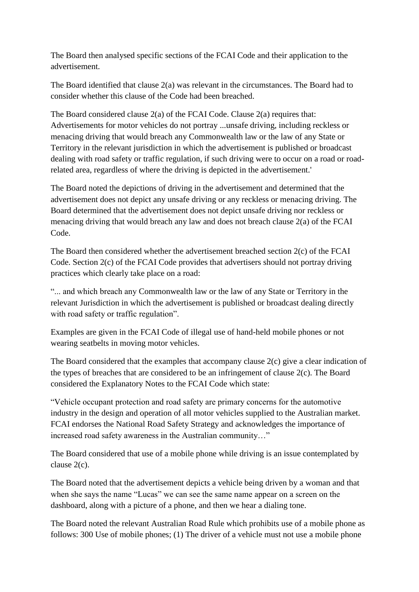The Board then analysed specific sections of the FCAI Code and their application to the advertisement.

The Board identified that clause 2(a) was relevant in the circumstances. The Board had to consider whether this clause of the Code had been breached.

The Board considered clause  $2(a)$  of the FCAI Code. Clause  $2(a)$  requires that: Advertisements for motor vehicles do not portray ...unsafe driving, including reckless or menacing driving that would breach any Commonwealth law or the law of any State or Territory in the relevant jurisdiction in which the advertisement is published or broadcast dealing with road safety or traffic regulation, if such driving were to occur on a road or roadrelated area, regardless of where the driving is depicted in the advertisement.'

The Board noted the depictions of driving in the advertisement and determined that the advertisement does not depict any unsafe driving or any reckless or menacing driving. The Board determined that the advertisement does not depict unsafe driving nor reckless or menacing driving that would breach any law and does not breach clause 2(a) of the FCAI Code.

The Board then considered whether the advertisement breached section 2(c) of the FCAI Code. Section 2(c) of the FCAI Code provides that advertisers should not portray driving practices which clearly take place on a road:

"... and which breach any Commonwealth law or the law of any State or Territory in the relevant Jurisdiction in which the advertisement is published or broadcast dealing directly with road safety or traffic regulation".

Examples are given in the FCAI Code of illegal use of hand-held mobile phones or not wearing seatbelts in moving motor vehicles.

The Board considered that the examples that accompany clause 2(c) give a clear indication of the types of breaches that are considered to be an infringement of clause 2(c). The Board considered the Explanatory Notes to the FCAI Code which state:

"Vehicle occupant protection and road safety are primary concerns for the automotive industry in the design and operation of all motor vehicles supplied to the Australian market. FCAI endorses the National Road Safety Strategy and acknowledges the importance of increased road safety awareness in the Australian community…"

The Board considered that use of a mobile phone while driving is an issue contemplated by clause 2(c).

The Board noted that the advertisement depicts a vehicle being driven by a woman and that when she says the name "Lucas" we can see the same name appear on a screen on the dashboard, along with a picture of a phone, and then we hear a dialing tone.

The Board noted the relevant Australian Road Rule which prohibits use of a mobile phone as follows: 300 Use of mobile phones; (1) The driver of a vehicle must not use a mobile phone